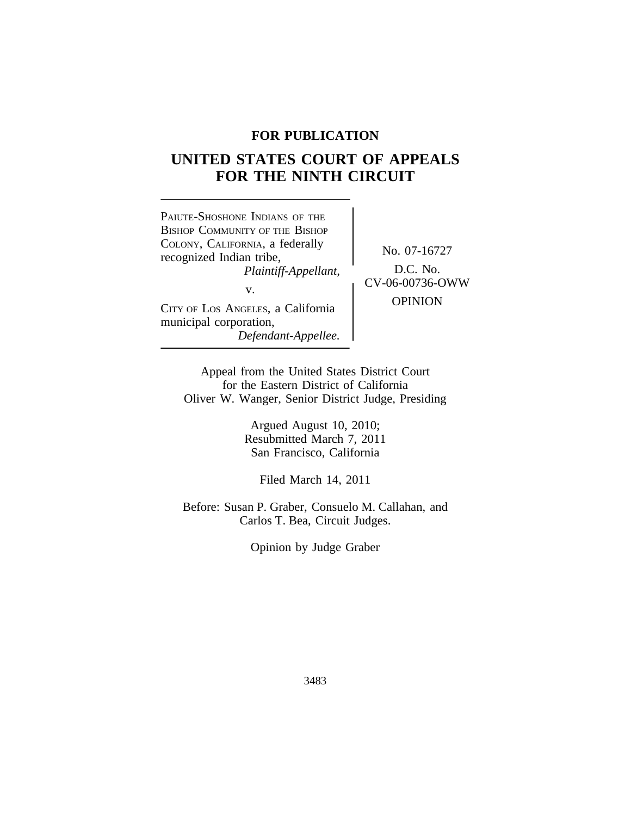## **FOR PUBLICATION**

# **UNITED STATES COURT OF APPEALS FOR THE NINTH CIRCUIT**



Appeal from the United States District Court for the Eastern District of California Oliver W. Wanger, Senior District Judge, Presiding

> Argued August 10, 2010; Resubmitted March 7, 2011 San Francisco, California

> > Filed March 14, 2011

Before: Susan P. Graber, Consuelo M. Callahan, and Carlos T. Bea, Circuit Judges.

Opinion by Judge Graber

3483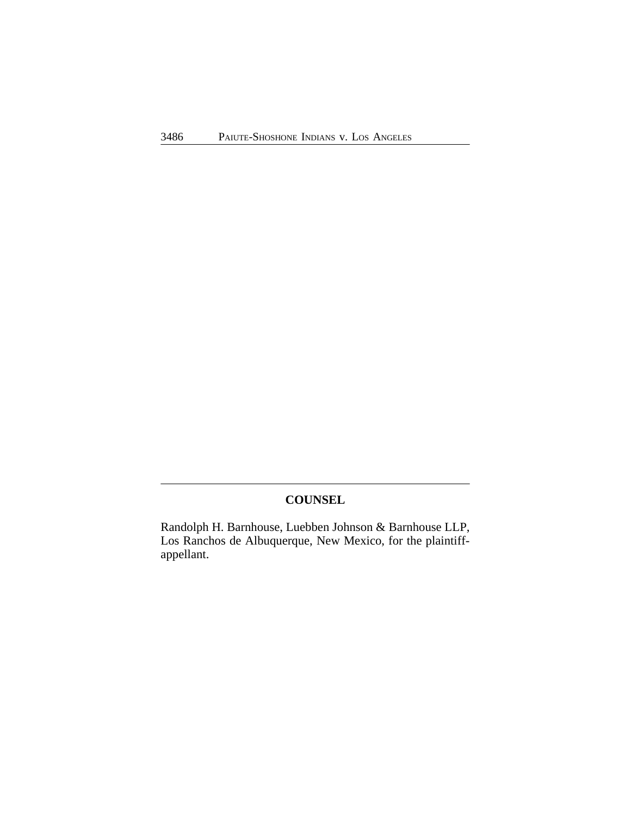## **COUNSEL**

Randolph H. Barnhouse, Luebben Johnson & Barnhouse LLP, Los Ranchos de Albuquerque, New Mexico, for the plaintiffappellant.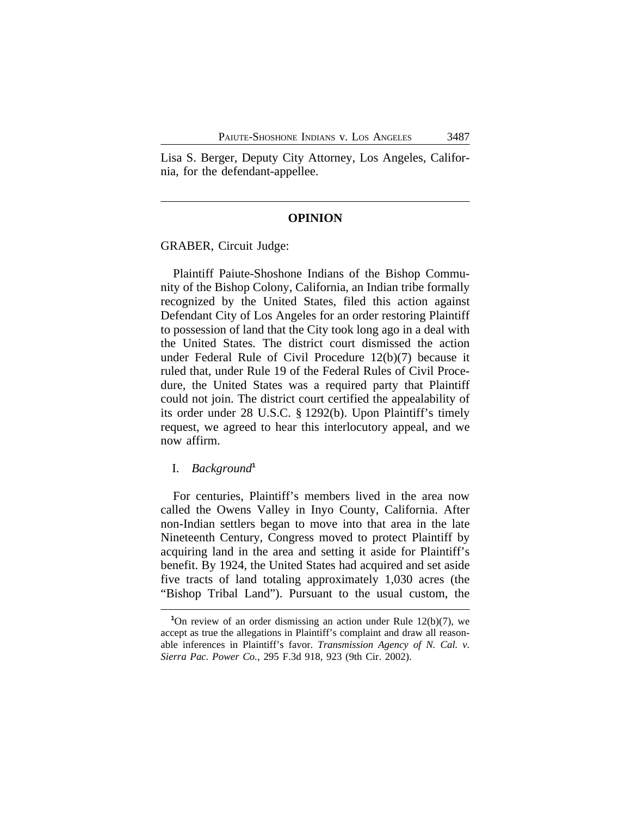Lisa S. Berger, Deputy City Attorney, Los Angeles, California, for the defendant-appellee.

#### **OPINION**

GRABER, Circuit Judge:

Plaintiff Paiute-Shoshone Indians of the Bishop Community of the Bishop Colony, California, an Indian tribe formally recognized by the United States, filed this action against Defendant City of Los Angeles for an order restoring Plaintiff to possession of land that the City took long ago in a deal with the United States. The district court dismissed the action under Federal Rule of Civil Procedure 12(b)(7) because it ruled that, under Rule 19 of the Federal Rules of Civil Procedure, the United States was a required party that Plaintiff could not join. The district court certified the appealability of its order under 28 U.S.C. § 1292(b). Upon Plaintiff's timely request, we agreed to hear this interlocutory appeal, and we now affirm.

#### I. *Background***<sup>1</sup>**

For centuries, Plaintiff's members lived in the area now called the Owens Valley in Inyo County, California. After non-Indian settlers began to move into that area in the late Nineteenth Century, Congress moved to protect Plaintiff by acquiring land in the area and setting it aside for Plaintiff's benefit. By 1924, the United States had acquired and set aside five tracts of land totaling approximately 1,030 acres (the "Bishop Tribal Land"). Pursuant to the usual custom, the

**<sup>1</sup>**On review of an order dismissing an action under Rule 12(b)(7), we accept as true the allegations in Plaintiff's complaint and draw all reasonable inferences in Plaintiff's favor. *Transmission Agency of N. Cal. v. Sierra Pac. Power Co.*, 295 F.3d 918, 923 (9th Cir. 2002).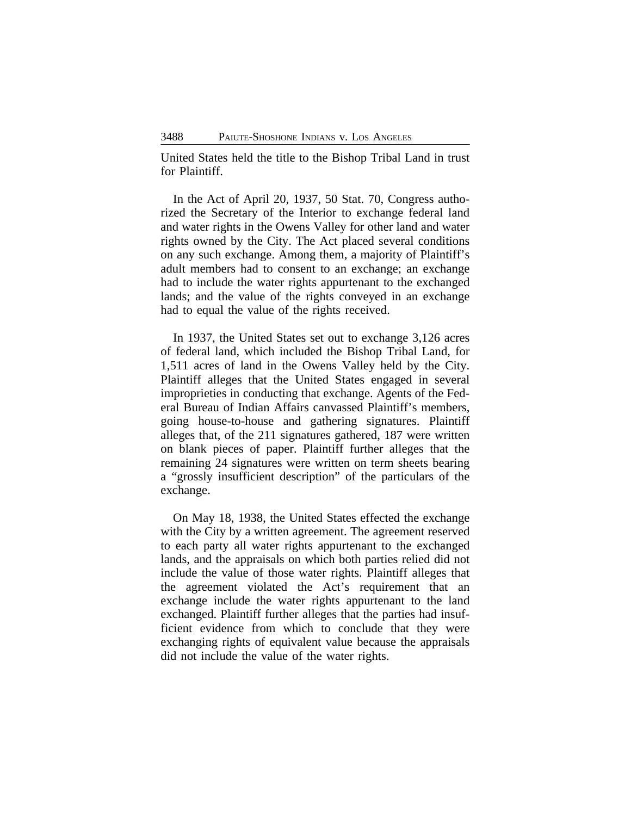United States held the title to the Bishop Tribal Land in trust for Plaintiff.

In the Act of April 20, 1937, 50 Stat. 70, Congress authorized the Secretary of the Interior to exchange federal land and water rights in the Owens Valley for other land and water rights owned by the City. The Act placed several conditions on any such exchange. Among them, a majority of Plaintiff's adult members had to consent to an exchange; an exchange had to include the water rights appurtenant to the exchanged lands; and the value of the rights conveyed in an exchange had to equal the value of the rights received.

In 1937, the United States set out to exchange 3,126 acres of federal land, which included the Bishop Tribal Land, for 1,511 acres of land in the Owens Valley held by the City. Plaintiff alleges that the United States engaged in several improprieties in conducting that exchange. Agents of the Federal Bureau of Indian Affairs canvassed Plaintiff's members, going house-to-house and gathering signatures. Plaintiff alleges that, of the 211 signatures gathered, 187 were written on blank pieces of paper. Plaintiff further alleges that the remaining 24 signatures were written on term sheets bearing a "grossly insufficient description" of the particulars of the exchange.

On May 18, 1938, the United States effected the exchange with the City by a written agreement. The agreement reserved to each party all water rights appurtenant to the exchanged lands, and the appraisals on which both parties relied did not include the value of those water rights. Plaintiff alleges that the agreement violated the Act's requirement that an exchange include the water rights appurtenant to the land exchanged. Plaintiff further alleges that the parties had insufficient evidence from which to conclude that they were exchanging rights of equivalent value because the appraisals did not include the value of the water rights.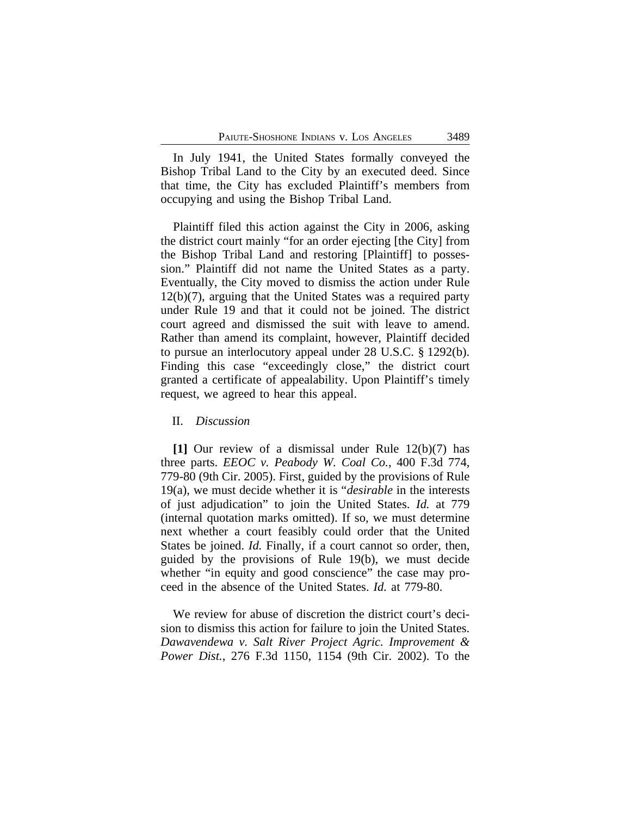In July 1941, the United States formally conveyed the Bishop Tribal Land to the City by an executed deed. Since that time, the City has excluded Plaintiff's members from occupying and using the Bishop Tribal Land.

Plaintiff filed this action against the City in 2006, asking the district court mainly "for an order ejecting [the City] from the Bishop Tribal Land and restoring [Plaintiff] to possession." Plaintiff did not name the United States as a party. Eventually, the City moved to dismiss the action under Rule 12(b)(7), arguing that the United States was a required party under Rule 19 and that it could not be joined. The district court agreed and dismissed the suit with leave to amend. Rather than amend its complaint, however, Plaintiff decided to pursue an interlocutory appeal under 28 U.S.C. § 1292(b). Finding this case "exceedingly close," the district court granted a certificate of appealability. Upon Plaintiff's timely request, we agreed to hear this appeal.

#### II. *Discussion*

**[1]** Our review of a dismissal under Rule 12(b)(7) has three parts. *EEOC v. Peabody W. Coal Co.*, 400 F.3d 774, 779-80 (9th Cir. 2005). First, guided by the provisions of Rule 19(a), we must decide whether it is "*desirable* in the interests of just adjudication" to join the United States. *Id.* at 779 (internal quotation marks omitted). If so, we must determine next whether a court feasibly could order that the United States be joined. *Id.* Finally, if a court cannot so order, then, guided by the provisions of Rule 19(b), we must decide whether "in equity and good conscience" the case may proceed in the absence of the United States. *Id.* at 779-80.

We review for abuse of discretion the district court's decision to dismiss this action for failure to join the United States. *Dawavendewa v. Salt River Project Agric. Improvement & Power Dist.*, 276 F.3d 1150, 1154 (9th Cir. 2002). To the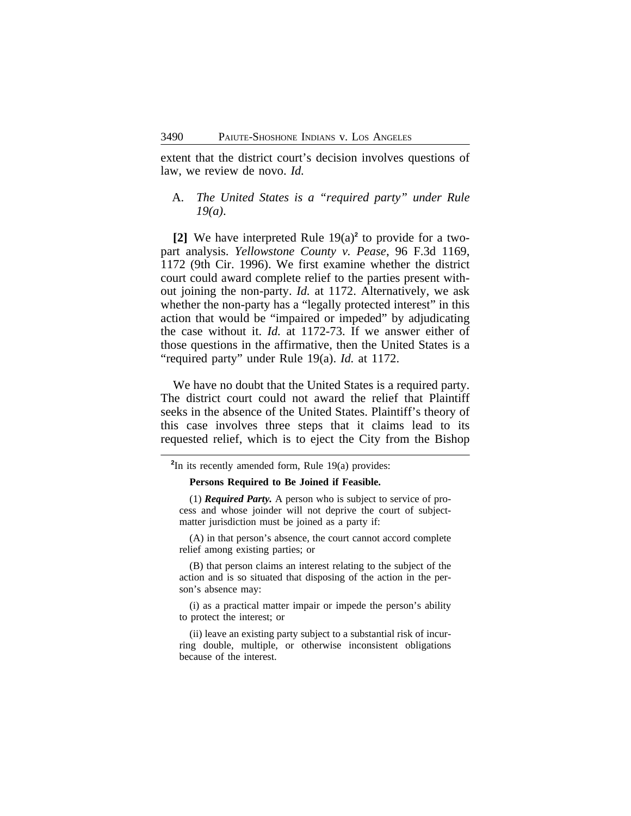extent that the district court's decision involves questions of law, we review de novo. *Id.*

### A. *The United States is a "required party" under Rule 19(a)*.

**[2]** We have interpreted Rule 19(a)**<sup>2</sup>** to provide for a twopart analysis. *Yellowstone County v. Pease*, 96 F.3d 1169, 1172 (9th Cir. 1996). We first examine whether the district court could award complete relief to the parties present without joining the non-party. *Id.* at 1172. Alternatively, we ask whether the non-party has a "legally protected interest" in this action that would be "impaired or impeded" by adjudicating the case without it. *Id.* at 1172-73. If we answer either of those questions in the affirmative, then the United States is a "required party" under Rule 19(a). *Id.* at 1172.

We have no doubt that the United States is a required party. The district court could not award the relief that Plaintiff seeks in the absence of the United States. Plaintiff's theory of this case involves three steps that it claims lead to its requested relief, which is to eject the City from the Bishop

**2** In its recently amended form, Rule 19(a) provides:

#### **Persons Required to Be Joined if Feasible.**

(1) *Required Party.* A person who is subject to service of process and whose joinder will not deprive the court of subjectmatter jurisdiction must be joined as a party if:

(A) in that person's absence, the court cannot accord complete relief among existing parties; or

(B) that person claims an interest relating to the subject of the action and is so situated that disposing of the action in the person's absence may:

(i) as a practical matter impair or impede the person's ability to protect the interest; or

(ii) leave an existing party subject to a substantial risk of incurring double, multiple, or otherwise inconsistent obligations because of the interest.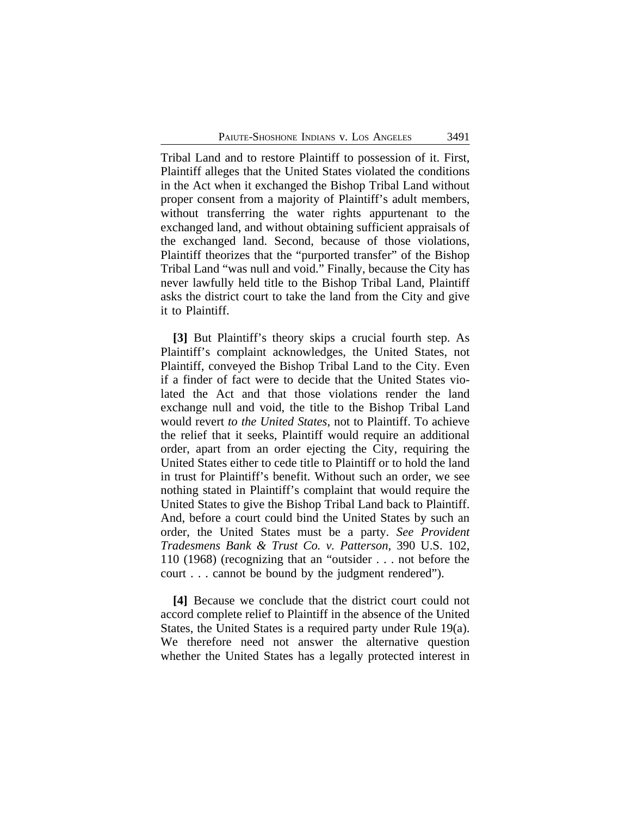Tribal Land and to restore Plaintiff to possession of it. First, Plaintiff alleges that the United States violated the conditions in the Act when it exchanged the Bishop Tribal Land without proper consent from a majority of Plaintiff's adult members, without transferring the water rights appurtenant to the exchanged land, and without obtaining sufficient appraisals of the exchanged land. Second, because of those violations, Plaintiff theorizes that the "purported transfer" of the Bishop Tribal Land "was null and void." Finally, because the City has never lawfully held title to the Bishop Tribal Land, Plaintiff asks the district court to take the land from the City and give it to Plaintiff.

**[3]** But Plaintiff's theory skips a crucial fourth step. As Plaintiff's complaint acknowledges, the United States, not Plaintiff, conveyed the Bishop Tribal Land to the City. Even if a finder of fact were to decide that the United States violated the Act and that those violations render the land exchange null and void, the title to the Bishop Tribal Land would revert *to the United States*, not to Plaintiff. To achieve the relief that it seeks, Plaintiff would require an additional order, apart from an order ejecting the City, requiring the United States either to cede title to Plaintiff or to hold the land in trust for Plaintiff's benefit. Without such an order, we see nothing stated in Plaintiff's complaint that would require the United States to give the Bishop Tribal Land back to Plaintiff. And, before a court could bind the United States by such an order, the United States must be a party. *See Provident Tradesmens Bank & Trust Co. v. Patterson*, 390 U.S. 102, 110 (1968) (recognizing that an "outsider . . . not before the court . . . cannot be bound by the judgment rendered").

**[4]** Because we conclude that the district court could not accord complete relief to Plaintiff in the absence of the United States, the United States is a required party under Rule 19(a). We therefore need not answer the alternative question whether the United States has a legally protected interest in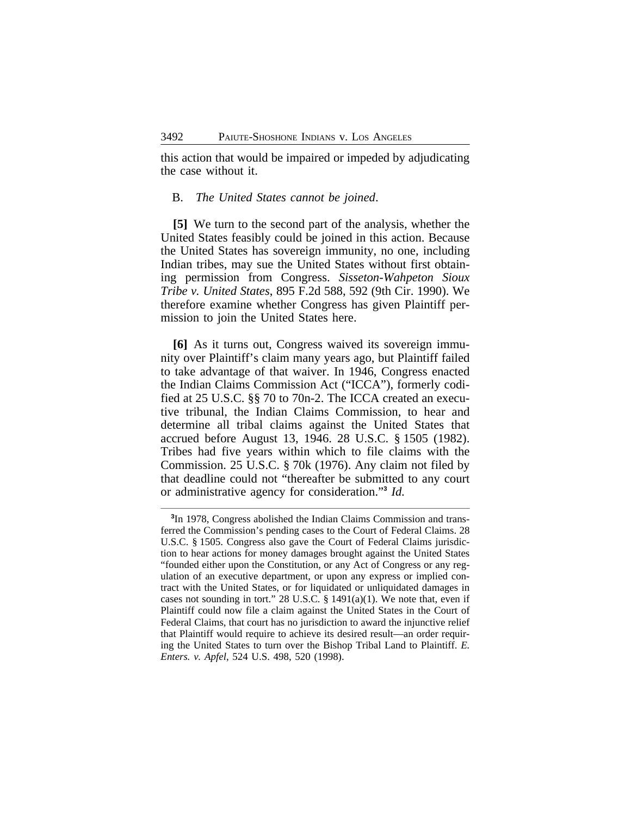this action that would be impaired or impeded by adjudicating the case without it.

#### B. *The United States cannot be joined*.

**[5]** We turn to the second part of the analysis, whether the United States feasibly could be joined in this action. Because the United States has sovereign immunity, no one, including Indian tribes, may sue the United States without first obtaining permission from Congress. *Sisseton-Wahpeton Sioux Tribe v. United States*, 895 F.2d 588, 592 (9th Cir. 1990). We therefore examine whether Congress has given Plaintiff permission to join the United States here.

**[6]** As it turns out, Congress waived its sovereign immunity over Plaintiff's claim many years ago, but Plaintiff failed to take advantage of that waiver. In 1946, Congress enacted the Indian Claims Commission Act ("ICCA"), formerly codified at 25 U.S.C. §§ 70 to 70n-2. The ICCA created an executive tribunal, the Indian Claims Commission, to hear and determine all tribal claims against the United States that accrued before August 13, 1946. 28 U.S.C. § 1505 (1982). Tribes had five years within which to file claims with the Commission. 25 U.S.C. § 70k (1976). Any claim not filed by that deadline could not "thereafter be submitted to any court or administrative agency for consideration." **3** *Id.*

**<sup>3</sup>** In 1978, Congress abolished the Indian Claims Commission and transferred the Commission's pending cases to the Court of Federal Claims. 28 U.S.C. § 1505. Congress also gave the Court of Federal Claims jurisdiction to hear actions for money damages brought against the United States "founded either upon the Constitution, or any Act of Congress or any regulation of an executive department, or upon any express or implied contract with the United States, or for liquidated or unliquidated damages in cases not sounding in tort." 28 U.S.C.  $\S$  1491(a)(1). We note that, even if Plaintiff could now file a claim against the United States in the Court of Federal Claims, that court has no jurisdiction to award the injunctive relief that Plaintiff would require to achieve its desired result—an order requiring the United States to turn over the Bishop Tribal Land to Plaintiff. *E. Enters. v. Apfel*, 524 U.S. 498, 520 (1998).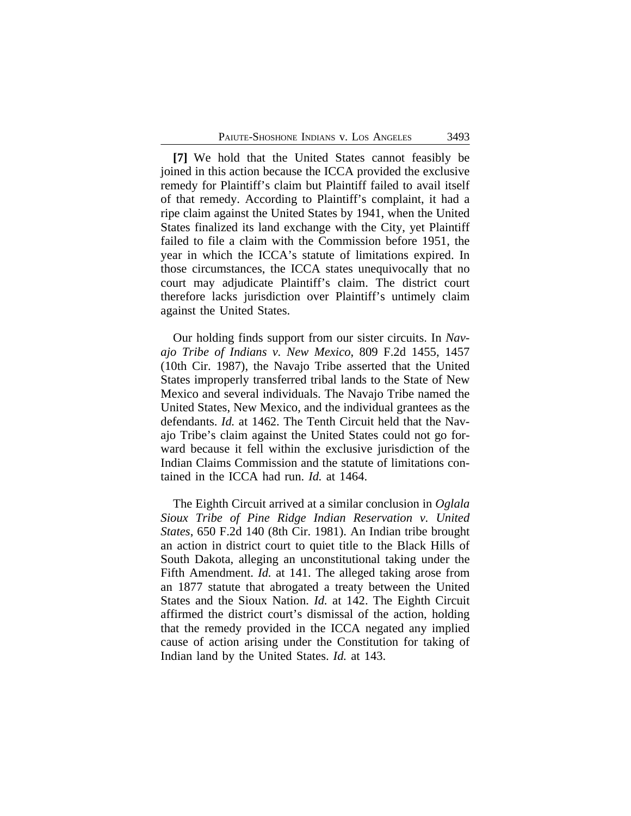**[7]** We hold that the United States cannot feasibly be joined in this action because the ICCA provided the exclusive remedy for Plaintiff's claim but Plaintiff failed to avail itself of that remedy. According to Plaintiff's complaint, it had a ripe claim against the United States by 1941, when the United States finalized its land exchange with the City, yet Plaintiff failed to file a claim with the Commission before 1951, the year in which the ICCA's statute of limitations expired. In those circumstances, the ICCA states unequivocally that no court may adjudicate Plaintiff's claim. The district court therefore lacks jurisdiction over Plaintiff's untimely claim against the United States.

Our holding finds support from our sister circuits. In *Navajo Tribe of Indians v. New Mexico*, 809 F.2d 1455, 1457 (10th Cir. 1987), the Navajo Tribe asserted that the United States improperly transferred tribal lands to the State of New Mexico and several individuals. The Navajo Tribe named the United States, New Mexico, and the individual grantees as the defendants. *Id.* at 1462. The Tenth Circuit held that the Navajo Tribe's claim against the United States could not go forward because it fell within the exclusive jurisdiction of the Indian Claims Commission and the statute of limitations contained in the ICCA had run. *Id.* at 1464.

The Eighth Circuit arrived at a similar conclusion in *Oglala Sioux Tribe of Pine Ridge Indian Reservation v. United States*, 650 F.2d 140 (8th Cir. 1981). An Indian tribe brought an action in district court to quiet title to the Black Hills of South Dakota, alleging an unconstitutional taking under the Fifth Amendment. *Id.* at 141. The alleged taking arose from an 1877 statute that abrogated a treaty between the United States and the Sioux Nation. *Id.* at 142. The Eighth Circuit affirmed the district court's dismissal of the action, holding that the remedy provided in the ICCA negated any implied cause of action arising under the Constitution for taking of Indian land by the United States. *Id.* at 143.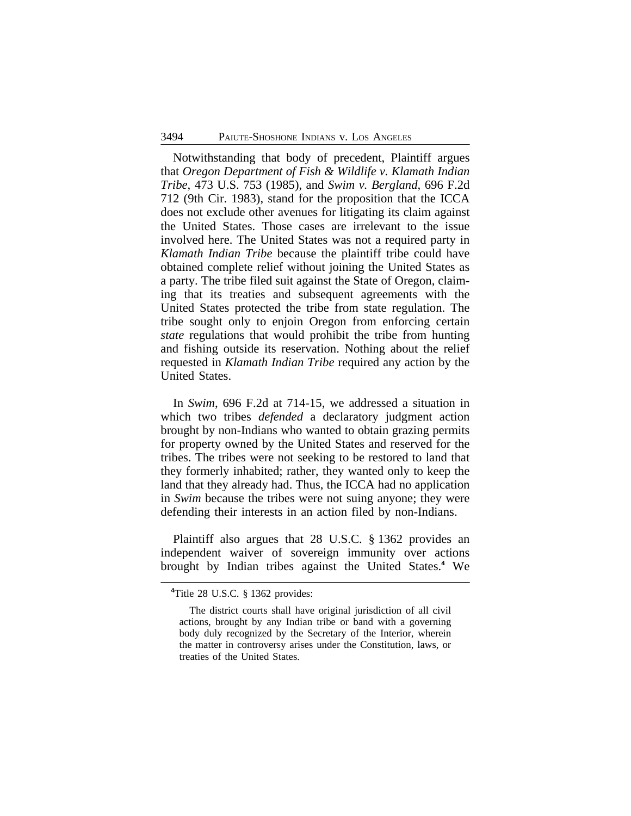Notwithstanding that body of precedent, Plaintiff argues that *Oregon Department of Fish & Wildlife v. Klamath Indian Tribe*, 473 U.S. 753 (1985), and *Swim v. Bergland*, 696 F.2d 712 (9th Cir. 1983), stand for the proposition that the ICCA does not exclude other avenues for litigating its claim against the United States. Those cases are irrelevant to the issue involved here. The United States was not a required party in *Klamath Indian Tribe* because the plaintiff tribe could have obtained complete relief without joining the United States as a party. The tribe filed suit against the State of Oregon, claiming that its treaties and subsequent agreements with the United States protected the tribe from state regulation. The tribe sought only to enjoin Oregon from enforcing certain *state* regulations that would prohibit the tribe from hunting and fishing outside its reservation. Nothing about the relief requested in *Klamath Indian Tribe* required any action by the United States.

In *Swim*, 696 F.2d at 714-15, we addressed a situation in which two tribes *defended* a declaratory judgment action brought by non-Indians who wanted to obtain grazing permits for property owned by the United States and reserved for the tribes. The tribes were not seeking to be restored to land that they formerly inhabited; rather, they wanted only to keep the land that they already had. Thus, the ICCA had no application in *Swim* because the tribes were not suing anyone; they were defending their interests in an action filed by non-Indians.

Plaintiff also argues that 28 U.S.C. § 1362 provides an independent waiver of sovereign immunity over actions brought by Indian tribes against the United States.**<sup>4</sup>** We

**<sup>4</sup>**Title 28 U.S.C. § 1362 provides:

The district courts shall have original jurisdiction of all civil actions, brought by any Indian tribe or band with a governing body duly recognized by the Secretary of the Interior, wherein the matter in controversy arises under the Constitution, laws, or treaties of the United States.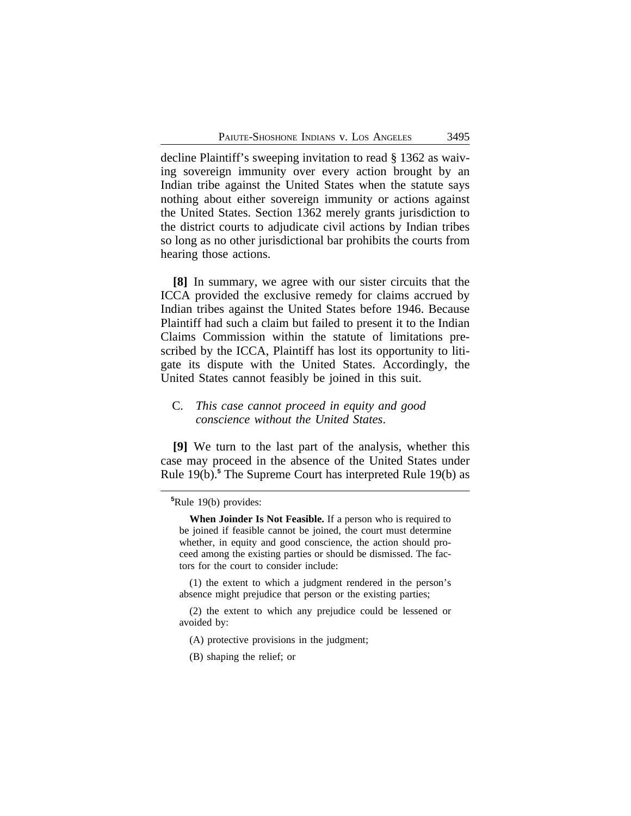decline Plaintiff's sweeping invitation to read § 1362 as waiving sovereign immunity over every action brought by an Indian tribe against the United States when the statute says nothing about either sovereign immunity or actions against the United States. Section 1362 merely grants jurisdiction to the district courts to adjudicate civil actions by Indian tribes so long as no other jurisdictional bar prohibits the courts from hearing those actions.

**[8]** In summary, we agree with our sister circuits that the ICCA provided the exclusive remedy for claims accrued by Indian tribes against the United States before 1946. Because Plaintiff had such a claim but failed to present it to the Indian Claims Commission within the statute of limitations prescribed by the ICCA, Plaintiff has lost its opportunity to litigate its dispute with the United States. Accordingly, the United States cannot feasibly be joined in this suit.

## C. *This case cannot proceed in equity and good conscience without the United States*.

**[9]** We turn to the last part of the analysis, whether this case may proceed in the absence of the United States under Rule 19(b).**<sup>5</sup>** The Supreme Court has interpreted Rule 19(b) as

(1) the extent to which a judgment rendered in the person's absence might prejudice that person or the existing parties;

- (2) the extent to which any prejudice could be lessened or avoided by:
	- (A) protective provisions in the judgment;
	- (B) shaping the relief; or

**<sup>5</sup>**Rule 19(b) provides:

**When Joinder Is Not Feasible.** If a person who is required to be joined if feasible cannot be joined, the court must determine whether, in equity and good conscience, the action should proceed among the existing parties or should be dismissed. The factors for the court to consider include: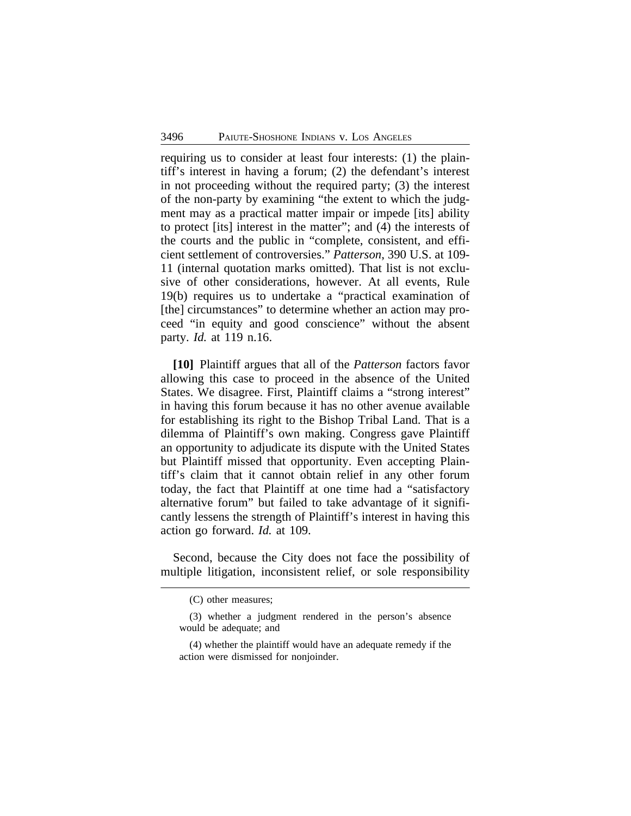requiring us to consider at least four interests: (1) the plaintiff's interest in having a forum; (2) the defendant's interest in not proceeding without the required party; (3) the interest of the non-party by examining "the extent to which the judgment may as a practical matter impair or impede [its] ability to protect [its] interest in the matter"; and (4) the interests of the courts and the public in "complete, consistent, and efficient settlement of controversies." *Patterson*, 390 U.S. at 109- 11 (internal quotation marks omitted). That list is not exclusive of other considerations, however. At all events, Rule 19(b) requires us to undertake a "practical examination of [the] circumstances" to determine whether an action may proceed "in equity and good conscience" without the absent party. *Id.* at 119 n.16.

**[10]** Plaintiff argues that all of the *Patterson* factors favor allowing this case to proceed in the absence of the United States. We disagree. First, Plaintiff claims a "strong interest" in having this forum because it has no other avenue available for establishing its right to the Bishop Tribal Land. That is a dilemma of Plaintiff's own making. Congress gave Plaintiff an opportunity to adjudicate its dispute with the United States but Plaintiff missed that opportunity. Even accepting Plaintiff's claim that it cannot obtain relief in any other forum today, the fact that Plaintiff at one time had a "satisfactory alternative forum" but failed to take advantage of it significantly lessens the strength of Plaintiff's interest in having this action go forward. *Id.* at 109.

Second, because the City does not face the possibility of multiple litigation, inconsistent relief, or sole responsibility

<sup>(</sup>C) other measures;

<sup>(3)</sup> whether a judgment rendered in the person's absence would be adequate; and

<sup>(4)</sup> whether the plaintiff would have an adequate remedy if the action were dismissed for nonjoinder.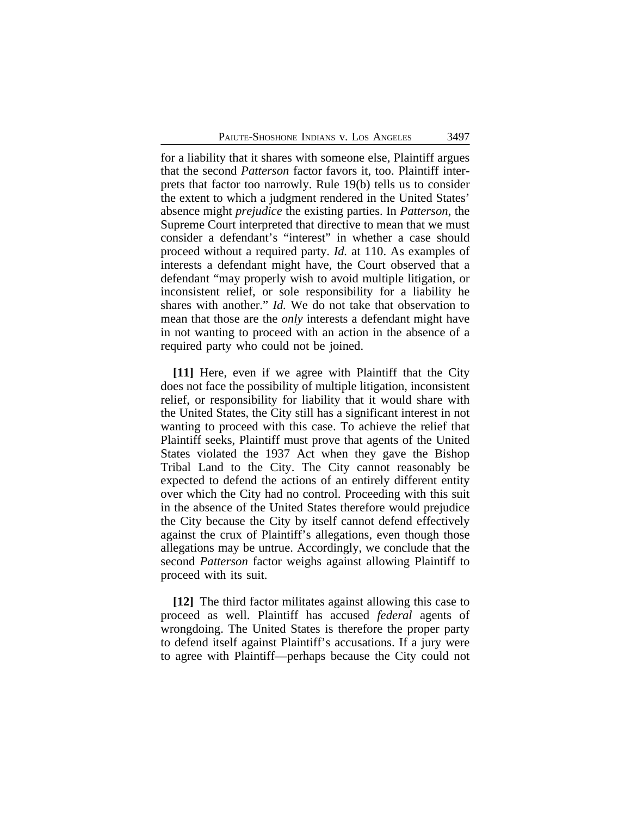for a liability that it shares with someone else, Plaintiff argues that the second *Patterson* factor favors it, too. Plaintiff interprets that factor too narrowly. Rule 19(b) tells us to consider the extent to which a judgment rendered in the United States' absence might *prejudice* the existing parties. In *Patterson*, the Supreme Court interpreted that directive to mean that we must consider a defendant's "interest" in whether a case should proceed without a required party. *Id.* at 110. As examples of interests a defendant might have, the Court observed that a defendant "may properly wish to avoid multiple litigation, or inconsistent relief, or sole responsibility for a liability he shares with another." *Id.* We do not take that observation to mean that those are the *only* interests a defendant might have in not wanting to proceed with an action in the absence of a required party who could not be joined.

**[11]** Here, even if we agree with Plaintiff that the City does not face the possibility of multiple litigation, inconsistent relief, or responsibility for liability that it would share with the United States, the City still has a significant interest in not wanting to proceed with this case. To achieve the relief that Plaintiff seeks, Plaintiff must prove that agents of the United States violated the 1937 Act when they gave the Bishop Tribal Land to the City. The City cannot reasonably be expected to defend the actions of an entirely different entity over which the City had no control. Proceeding with this suit in the absence of the United States therefore would prejudice the City because the City by itself cannot defend effectively against the crux of Plaintiff's allegations, even though those allegations may be untrue. Accordingly, we conclude that the second *Patterson* factor weighs against allowing Plaintiff to proceed with its suit.

**[12]** The third factor militates against allowing this case to proceed as well. Plaintiff has accused *federal* agents of wrongdoing. The United States is therefore the proper party to defend itself against Plaintiff's accusations. If a jury were to agree with Plaintiff—perhaps because the City could not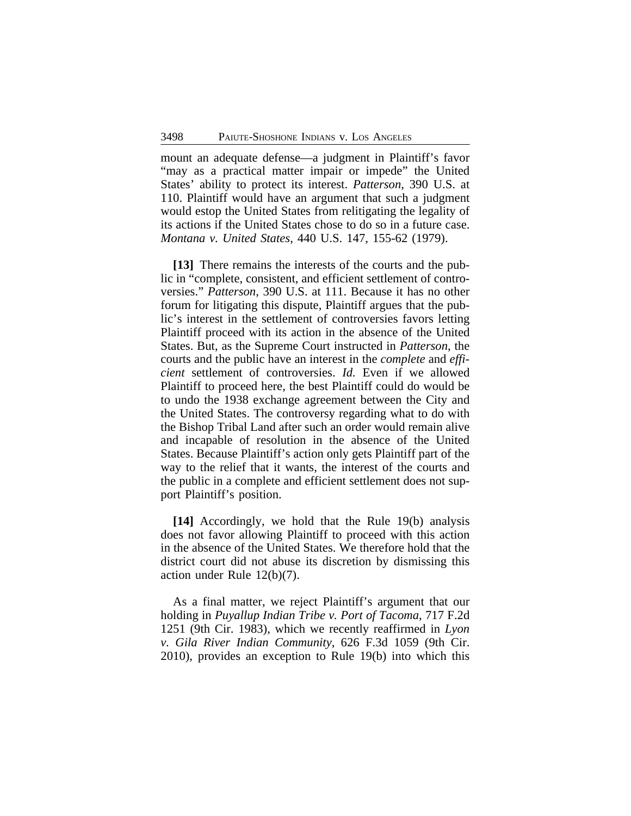mount an adequate defense—a judgment in Plaintiff's favor "may as a practical matter impair or impede" the United States' ability to protect its interest. *Patterson*, 390 U.S. at 110. Plaintiff would have an argument that such a judgment would estop the United States from relitigating the legality of its actions if the United States chose to do so in a future case. *Montana v. United States*, 440 U.S. 147, 155-62 (1979).

**[13]** There remains the interests of the courts and the public in "complete, consistent, and efficient settlement of controversies." *Patterson*, 390 U.S. at 111. Because it has no other forum for litigating this dispute, Plaintiff argues that the public's interest in the settlement of controversies favors letting Plaintiff proceed with its action in the absence of the United States. But, as the Supreme Court instructed in *Patterson*, the courts and the public have an interest in the *complete* and *efficient* settlement of controversies. *Id.* Even if we allowed Plaintiff to proceed here, the best Plaintiff could do would be to undo the 1938 exchange agreement between the City and the United States. The controversy regarding what to do with the Bishop Tribal Land after such an order would remain alive and incapable of resolution in the absence of the United States. Because Plaintiff's action only gets Plaintiff part of the way to the relief that it wants, the interest of the courts and the public in a complete and efficient settlement does not support Plaintiff's position.

**[14]** Accordingly, we hold that the Rule 19(b) analysis does not favor allowing Plaintiff to proceed with this action in the absence of the United States. We therefore hold that the district court did not abuse its discretion by dismissing this action under Rule 12(b)(7).

As a final matter, we reject Plaintiff's argument that our holding in *Puyallup Indian Tribe v. Port of Tacoma*, 717 F.2d 1251 (9th Cir. 1983), which we recently reaffirmed in *Lyon v. Gila River Indian Community*, 626 F.3d 1059 (9th Cir. 2010), provides an exception to Rule 19(b) into which this